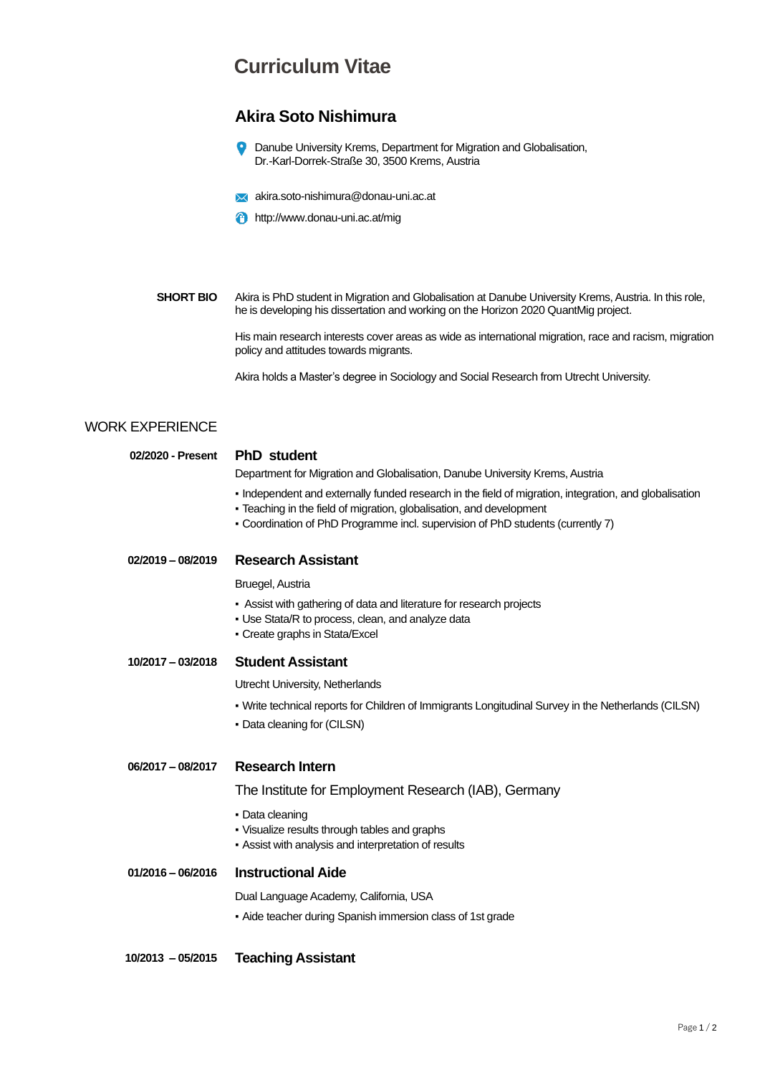## **Curriculum Vitae**

### **Akira Soto Nishimura**

 $\bullet$ Danube University Krems, Department for Migration and Globalisation, Dr.-Karl-Dorrek-Straße 30, 3500 Krems, Austria

- **X** akira.soto-nishimura@donau-uni.ac.at
- **f** http://www.donau-uni.ac.at/mig

**SHORT BIO** Akira is PhD student in Migration and Globalisation at Danube University Krems, Austria. In this role, he is developing his dissertation and working on the Horizon 2020 QuantMig project.

> His main research interests cover areas as wide as international migration, race and racism, migration policy and attitudes towards migrants.

Akira holds a Master's degree in Sociology and Social Research from Utrecht University.

#### WORK EXPERIENCE

| 02/2020 - Present   | <b>PhD</b> student                                                                                                                                                                                                                                              |
|---------------------|-----------------------------------------------------------------------------------------------------------------------------------------------------------------------------------------------------------------------------------------------------------------|
|                     | Department for Migration and Globalisation, Danube University Krems, Austria                                                                                                                                                                                    |
|                     | Independent and externally funded research in the field of migration, integration, and globalisation<br>- Teaching in the field of migration, globalisation, and development<br>- Coordination of PhD Programme incl. supervision of PhD students (currently 7) |
| $02/2019 - 08/2019$ | <b>Research Assistant</b>                                                                                                                                                                                                                                       |
|                     | Bruegel, Austria                                                                                                                                                                                                                                                |
|                     | - Assist with gathering of data and literature for research projects<br>• Use Stata/R to process, clean, and analyze data<br>• Create graphs in Stata/Excel                                                                                                     |
| $10/2017 - 03/2018$ | <b>Student Assistant</b>                                                                                                                                                                                                                                        |
|                     | Utrecht University, Netherlands                                                                                                                                                                                                                                 |
|                     | • Write technical reports for Children of Immigrants Longitudinal Survey in the Netherlands (CILSN)                                                                                                                                                             |
|                     | • Data cleaning for (CILSN)                                                                                                                                                                                                                                     |
| 06/2017 - 08/2017   | <b>Research Intern</b>                                                                                                                                                                                                                                          |
|                     | The Institute for Employment Research (IAB), Germany                                                                                                                                                                                                            |
|                     | • Data cleaning<br>. Visualize results through tables and graphs<br>- Assist with analysis and interpretation of results                                                                                                                                        |
| $01/2016 - 06/2016$ | <b>Instructional Aide</b>                                                                                                                                                                                                                                       |
|                     | Dual Language Academy, California, USA                                                                                                                                                                                                                          |
|                     | • Aide teacher during Spanish immersion class of 1st grade                                                                                                                                                                                                      |
|                     |                                                                                                                                                                                                                                                                 |

**10/2013 – 05/2015 Teaching Assistant**